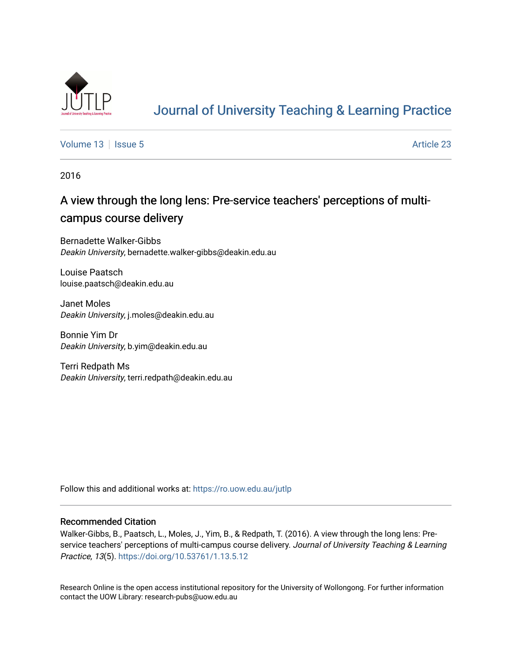

# [Journal of University Teaching & Learning Practice](https://ro.uow.edu.au/jutlp)

[Volume 13](https://ro.uow.edu.au/jutlp/vol13) | [Issue 5](https://ro.uow.edu.au/jutlp/vol13/iss5) Article 23

2016

## A view through the long lens: Pre-service teachers' perceptions of multicampus course delivery

Bernadette Walker-Gibbs Deakin University, bernadette.walker-gibbs@deakin.edu.au

Louise Paatsch louise.paatsch@deakin.edu.au

Janet Moles Deakin University, j.moles@deakin.edu.au

Bonnie Yim Dr Deakin University, b.yim@deakin.edu.au

Terri Redpath Ms Deakin University, terri.redpath@deakin.edu.au

Follow this and additional works at: [https://ro.uow.edu.au/jutlp](https://ro.uow.edu.au/jutlp?utm_source=ro.uow.edu.au%2Fjutlp%2Fvol13%2Fiss5%2F23&utm_medium=PDF&utm_campaign=PDFCoverPages) 

#### Recommended Citation

Walker-Gibbs, B., Paatsch, L., Moles, J., Yim, B., & Redpath, T. (2016). A view through the long lens: Preservice teachers' perceptions of multi-campus course delivery. Journal of University Teaching & Learning Practice, 13(5). <https://doi.org/10.53761/1.13.5.12>

Research Online is the open access institutional repository for the University of Wollongong. For further information contact the UOW Library: research-pubs@uow.edu.au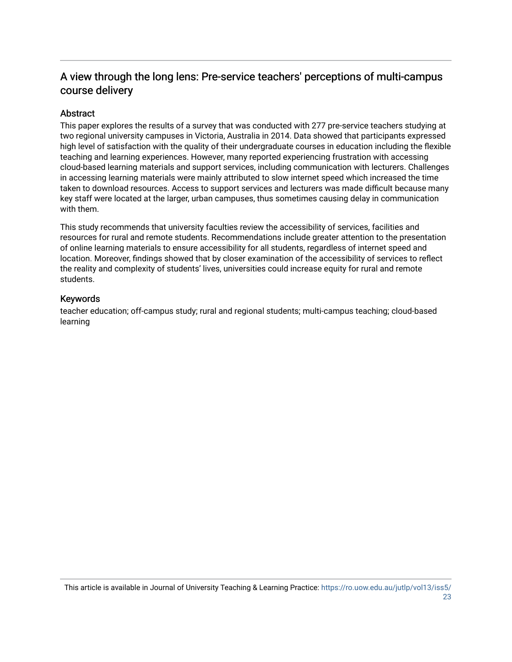### A view through the long lens: Pre-service teachers' perceptions of multi-campus course delivery

#### Abstract

This paper explores the results of a survey that was conducted with 277 pre-service teachers studying at two regional university campuses in Victoria, Australia in 2014. Data showed that participants expressed high level of satisfaction with the quality of their undergraduate courses in education including the flexible teaching and learning experiences. However, many reported experiencing frustration with accessing cloud-based learning materials and support services, including communication with lecturers. Challenges in accessing learning materials were mainly attributed to slow internet speed which increased the time taken to download resources. Access to support services and lecturers was made difficult because many key staff were located at the larger, urban campuses, thus sometimes causing delay in communication with them.

This study recommends that university faculties review the accessibility of services, facilities and resources for rural and remote students. Recommendations include greater attention to the presentation of online learning materials to ensure accessibility for all students, regardless of internet speed and location. Moreover, findings showed that by closer examination of the accessibility of services to reflect the reality and complexity of students' lives, universities could increase equity for rural and remote students.

#### Keywords

teacher education; off-campus study; rural and regional students; multi-campus teaching; cloud-based learning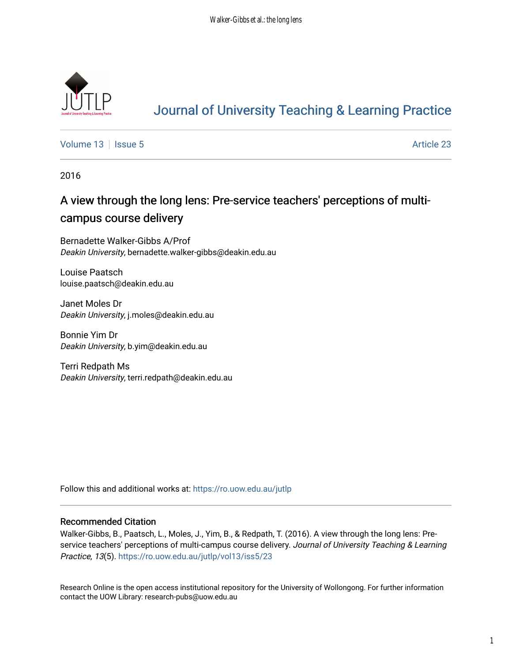

# [Journal of University Teaching & Learning Practice](https://ro.uow.edu.au/jutlp)

[Volume 13](https://ro.uow.edu.au/jutlp/vol13) | [Issue 5](https://ro.uow.edu.au/jutlp/vol13/iss5) Article 23

2016

## A view through the long lens: Pre-service teachers' perceptions of multicampus course delivery

Bernadette Walker-Gibbs A/Prof Deakin University, bernadette.walker-gibbs@deakin.edu.au

Louise Paatsch louise.paatsch@deakin.edu.au

Janet Moles Dr Deakin University, j.moles@deakin.edu.au

Bonnie Yim Dr Deakin University, b.yim@deakin.edu.au

Terri Redpath Ms Deakin University, terri.redpath@deakin.edu.au

Follow this and additional works at: [https://ro.uow.edu.au/jutlp](https://ro.uow.edu.au/jutlp?utm_source=ro.uow.edu.au%2Fjutlp%2Fvol13%2Fiss5%2F23&utm_medium=PDF&utm_campaign=PDFCoverPages) 

#### Recommended Citation

Walker-Gibbs, B., Paatsch, L., Moles, J., Yim, B., & Redpath, T. (2016). A view through the long lens: Preservice teachers' perceptions of multi-campus course delivery. Journal of University Teaching & Learning Practice, 13(5). https://ro.uow.edu.au/jutlp/vol13/iss5/23

Research Online is the open access institutional repository for the University of Wollongong. For further information contact the UOW Library: research-pubs@uow.edu.au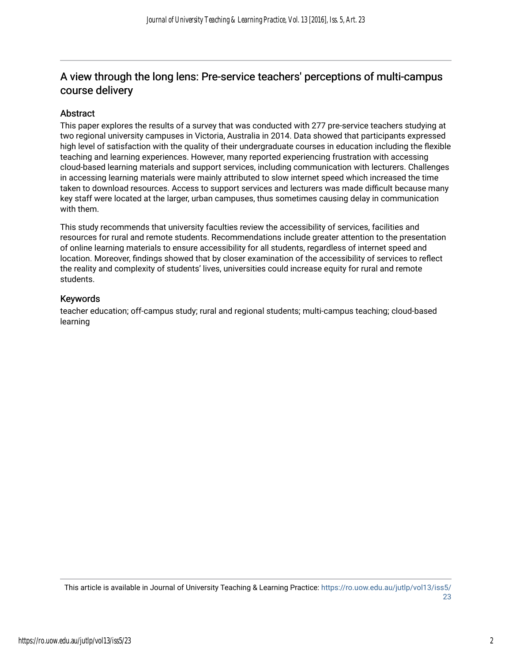### A view through the long lens: Pre-service teachers' perceptions of multi-campus course delivery

#### Abstract

This paper explores the results of a survey that was conducted with 277 pre-service teachers studying at two regional university campuses in Victoria, Australia in 2014. Data showed that participants expressed high level of satisfaction with the quality of their undergraduate courses in education including the flexible teaching and learning experiences. However, many reported experiencing frustration with accessing cloud-based learning materials and support services, including communication with lecturers. Challenges in accessing learning materials were mainly attributed to slow internet speed which increased the time taken to download resources. Access to support services and lecturers was made difficult because many key staff were located at the larger, urban campuses, thus sometimes causing delay in communication with them.

This study recommends that university faculties review the accessibility of services, facilities and resources for rural and remote students. Recommendations include greater attention to the presentation of online learning materials to ensure accessibility for all students, regardless of internet speed and location. Moreover, findings showed that by closer examination of the accessibility of services to reflect the reality and complexity of students' lives, universities could increase equity for rural and remote students.

#### Keywords

teacher education; off-campus study; rural and regional students; multi-campus teaching; cloud-based learning

This article is available in Journal of University Teaching & Learning Practice: [https://ro.uow.edu.au/jutlp/vol13/iss5/](https://ro.uow.edu.au/jutlp/vol13/iss5/23) [23](https://ro.uow.edu.au/jutlp/vol13/iss5/23)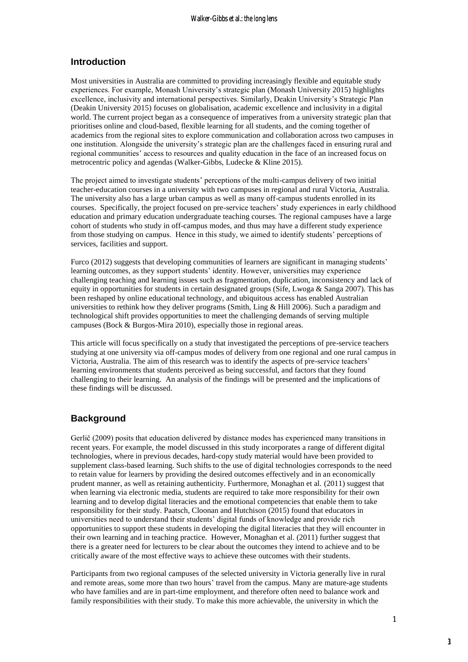#### **Introduction**

Most universities in Australia are committed to providing increasingly flexible and equitable study experiences. For example, Monash University's strategic plan (Monash University 2015) highlights excellence, inclusivity and international perspectives. Similarly, Deakin University's Strategic Plan (Deakin University 2015) focuses on globalisation, academic excellence and inclusivity in a digital world. The current project began as a consequence of imperatives from a university strategic plan that prioritises online and cloud-based, flexible learning for all students, and the coming together of academics from the regional sites to explore communication and collaboration across two campuses in one institution. Alongside the university's strategic plan are the challenges faced in ensuring rural and regional communities' access to resources and quality education in the face of an increased focus on metrocentric policy and agendas (Walker-Gibbs, Ludecke & Kline 2015).

The project aimed to investigate students' perceptions of the multi-campus delivery of two initial teacher-education courses in a university with two campuses in regional and rural Victoria, Australia. The university also has a large urban campus as well as many off-campus students enrolled in its courses. Specifically, the project focused on pre-service teachers' study experiences in early childhood education and primary education undergraduate teaching courses. The regional campuses have a large cohort of students who study in off-campus modes, and thus may have a different study experience from those studying on campus. Hence in this study, we aimed to identify students' perceptions of services, facilities and support.

Furco (2012) suggests that developing communities of learners are significant in managing students' learning outcomes, as they support students' identity. However, universities may experience challenging teaching and learning issues such as fragmentation, duplication, inconsistency and lack of equity in opportunities for students in certain designated groups (Sife, Lwoga & Sanga 2007). This has been reshaped by online educational technology, and ubiquitous access has enabled Australian universities to rethink how they deliver programs (Smith, Ling & Hill 2006). Such a paradigm and technological shift provides opportunities to meet the challenging demands of serving multiple campuses (Bock & Burgos-Mira 2010), especially those in regional areas.

This article will focus specifically on a study that investigated the perceptions of pre-service teachers studying at one university via off-campus modes of delivery from one regional and one rural campus in Victoria, Australia. The aim of this research was to identify the aspects of pre-service teachers' learning environments that students perceived as being successful, and factors that they found challenging to their learning. An analysis of the findings will be presented and the implications of these findings will be discussed.

#### **Background**

Gerlič (2009) posits that education delivered by distance modes has experienced many transitions in recent years. For example, the model discussed in this study incorporates a range of different digital technologies, where in previous decades, hard-copy study material would have been provided to supplement class-based learning. Such shifts to the use of digital technologies corresponds to the need to retain value for learners by providing the desired outcomes effectively and in an economically prudent manner, as well as retaining authenticity. Furthermore, Monaghan et al. (2011) suggest that when learning via electronic media, students are required to take more responsibility for their own learning and to develop digital literacies and the emotional competencies that enable them to take responsibility for their study. Paatsch, Cloonan and Hutchison (2015) found that educators in universities need to understand their students' digital funds of knowledge and provide rich opportunities to support these students in developing the digital literacies that they will encounter in their own learning and in teaching practice. However, Monaghan et al. (2011) further suggest that there is a greater need for lecturers to be clear about the outcomes they intend to achieve and to be critically aware of the most effective ways to achieve these outcomes with their students.

Participants from two regional campuses of the selected university in Victoria generally live in rural and remote areas, some more than two hours' travel from the campus. Many are mature-age students who have families and are in part-time employment, and therefore often need to balance work and family responsibilities with their study. To make this more achievable, the university in which the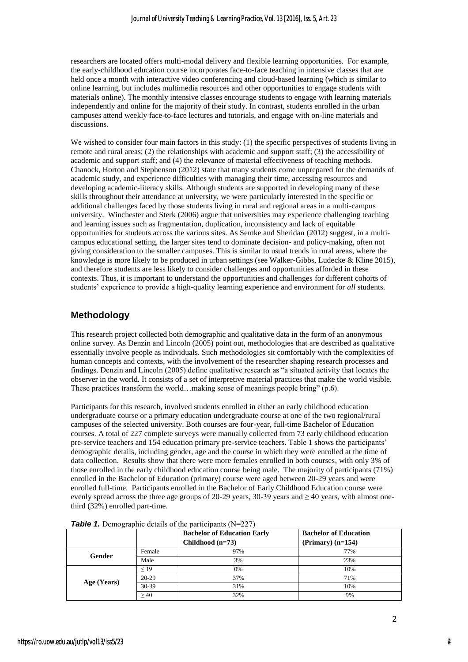researchers are located offers multi-modal delivery and flexible learning opportunities. For example, the early-childhood education course incorporates face-to-face teaching in intensive classes that are held once a month with interactive video conferencing and cloud-based learning (which is similar to online learning, but includes multimedia resources and other opportunities to engage students with materials online). The monthly intensive classes encourage students to engage with learning materials independently and online for the majority of their study. In contrast, students enrolled in the urban campuses attend weekly face-to-face lectures and tutorials, and engage with on-line materials and discussions.

We wished to consider four main factors in this study: (1) the specific perspectives of students living in remote and rural areas; (2) the relationships with academic and support staff; (3) the accessibility of academic and support staff; and (4) the relevance of material effectiveness of teaching methods. Chanock, Horton and Stephenson (2012) state that many students come unprepared for the demands of academic study, and experience difficulties with managing their time, accessing resources and developing academic-literacy skills. Although students are supported in developing many of these skills throughout their attendance at university, we were particularly interested in the specific or additional challenges faced by those students living in rural and regional areas in a multi-campus university. Winchester and Sterk (2006) argue that universities may experience challenging teaching and learning issues such as fragmentation, duplication, inconsistency and lack of equitable opportunities for students across the various sites. As Semke and Sheridan (2012) suggest, in a multicampus educational setting, the larger sites tend to dominate decision- and policy-making, often not giving consideration to the smaller campuses. This is similar to usual trends in rural areas, where the knowledge is more likely to be produced in urban settings (see Walker-Gibbs, Ludecke & Kline 2015), and therefore students are less likely to consider challenges and opportunities afforded in these contexts. Thus, it is important to understand the opportunities and challenges for different cohorts of students' experience to provide a high-quality learning experience and environment for *all* students.

#### **Methodology**

This research project collected both demographic and qualitative data in the form of an anonymous online survey. As Denzin and Lincoln (2005) point out, methodologies that are described as qualitative essentially involve people as individuals. Such methodologies sit comfortably with the complexities of human concepts and contexts, with the involvement of the researcher shaping research processes and findings. Denzin and Lincoln (2005) define qualitative research as "a situated activity that locates the observer in the world. It consists of a set of interpretive material practices that make the world visible. These practices transform the world…making sense of meanings people bring" (p.6).

Participants for this research, involved students enrolled in either an early childhood education undergraduate course or a primary education undergraduate course at one of the two regional/rural campuses of the selected university. Both courses are four-year, full-time Bachelor of Education courses. A total of 227 complete surveys were manually collected from 73 early childhood education pre-service teachers and 154 education primary pre-service teachers. Table 1 shows the participants' demographic details, including gender, age and the course in which they were enrolled at the time of data collection. Results show that there were more females enrolled in both courses, with only 3% of those enrolled in the early childhood education course being male. The majority of participants (71%) enrolled in the Bachelor of Education (primary) course were aged between 20-29 years and were enrolled full-time. Participants enrolled in the Bachelor of Early Childhood Education course were evenly spread across the three age groups of 20-29 years, 30-39 years and  $\geq$  40 years, with almost onethird (32%) enrolled part-time.

|             |             | <b>Bachelor of Education Early</b> | <b>Bachelor of Education</b> |
|-------------|-------------|------------------------------------|------------------------------|
|             |             | Childhood $(n=73)$                 | $(Primary) (n=154)$          |
| Gender      | Female      | 97%                                | 77%                          |
|             | Male        | 3%                                 | 23%                          |
| Age (Years) | ${}_{< 19}$ | 0%                                 | 10%                          |
|             | $20-29$     | 37%                                | 71%                          |
|             | 30-39       | 31%                                | 10%                          |
|             | >40         | 32%                                | 9%                           |

|  |  | <b>Table 1.</b> Demographic details of the participants $(N=227)$ |  |  |
|--|--|-------------------------------------------------------------------|--|--|
|--|--|-------------------------------------------------------------------|--|--|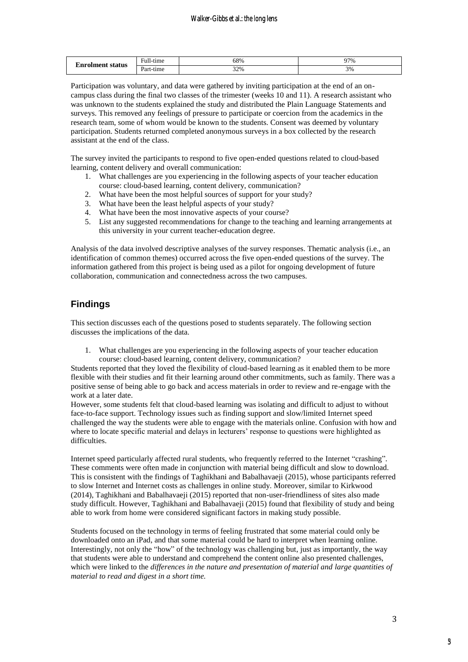| <b>Enrolment status</b> | $\rightarrow$<br>$\blacksquare$<br>- ∺սш-ւ.<br>-tıme | 58% | 97% |
|-------------------------|------------------------------------------------------|-----|-----|
|                         | $\sim$<br>Part-tıme                                  | 32% | 3%  |

Participation was voluntary, and data were gathered by inviting participation at the end of an oncampus class during the final two classes of the trimester (weeks 10 and 11). A research assistant who was unknown to the students explained the study and distributed the Plain Language Statements and surveys. This removed any feelings of pressure to participate or coercion from the academics in the research team, some of whom would be known to the students. Consent was deemed by voluntary participation. Students returned completed anonymous surveys in a box collected by the research assistant at the end of the class.

The survey invited the participants to respond to five open-ended questions related to cloud-based learning, content delivery and overall communication:

- 1. What challenges are you experiencing in the following aspects of your teacher education course: cloud-based learning, content delivery, communication?
- 2. What have been the most helpful sources of support for your study?
- 3. What have been the least helpful aspects of your study?
- 4. What have been the most innovative aspects of your course?
- 5. List any suggested recommendations for change to the teaching and learning arrangements at this university in your current teacher-education degree.

Analysis of the data involved descriptive analyses of the survey responses. Thematic analysis (i.e., an identification of common themes) occurred across the five open-ended questions of the survey. The information gathered from this project is being used as a pilot for ongoing development of future collaboration, communication and connectedness across the two campuses.

#### **Findings**

This section discusses each of the questions posed to students separately. The following section discusses the implications of the data.

1. What challenges are you experiencing in the following aspects of your teacher education course: cloud-based learning, content delivery, communication?

Students reported that they loved the flexibility of cloud-based learning as it enabled them to be more flexible with their studies and fit their learning around other commitments, such as family. There was a positive sense of being able to go back and access materials in order to review and re-engage with the work at a later date.

However, some students felt that cloud-based learning was isolating and difficult to adjust to without face-to-face support. Technology issues such as finding support and slow/limited Internet speed challenged the way the students were able to engage with the materials online. Confusion with how and where to locate specific material and delays in lecturers' response to questions were highlighted as difficulties.

Internet speed particularly affected rural students, who frequently referred to the Internet "crashing". These comments were often made in conjunction with material being difficult and slow to download. This is consistent with the findings of Taghikhani and Babalhavaeji (2015), whose participants referred to slow Internet and Internet costs as challenges in online study. Moreover, similar to Kirkwood (2014), Taghikhani and Babalhavaeji (2015) reported that non-user-friendliness of sites also made study difficult. However, Taghikhani and Babalhavaeji (2015) found that flexibility of study and being able to work from home were considered significant factors in making study possible.

Students focused on the technology in terms of feeling frustrated that some material could only be downloaded onto an iPad, and that some material could be hard to interpret when learning online. Interestingly, not only the "how" of the technology was challenging but, just as importantly, the way that students were able to understand and comprehend the content online also presented challenges, which were linked to the *differences in the nature and presentation of material and large quantities of material to read and digest in a short time.*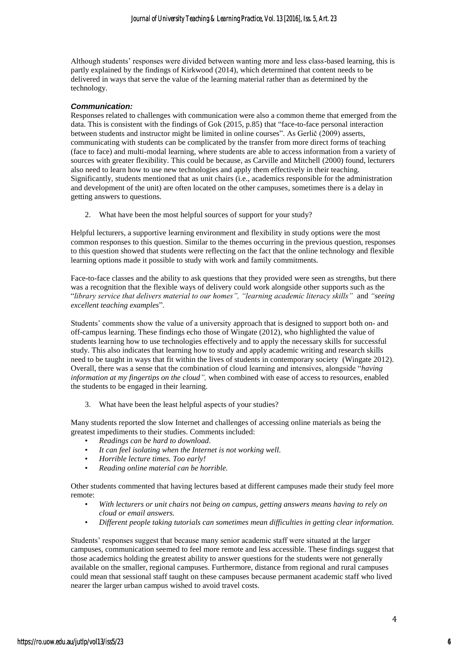Although students' responses were divided between wanting more and less class-based learning, this is partly explained by the findings of Kirkwood (2014), which determined that content needs to be delivered in ways that serve the value of the learning material rather than as determined by the technology.

#### *Communication:*

Responses related to challenges with communication were also a common theme that emerged from the data. This is consistent with the findings of Gok (2015, p.85) that "face-to-face personal interaction between students and instructor might be limited in online courses". As Gerlič (2009) asserts, communicating with students can be complicated by the transfer from more direct forms of teaching (face to face) and multi-modal learning, where students are able to access information from a variety of sources with greater flexibility. This could be because, as Carville and Mitchell (2000) found, lecturers also need to learn how to use new technologies and apply them effectively in their teaching. Significantly, students mentioned that as unit chairs (i.e., academics responsible for the administration and development of the unit) are often located on the other campuses, sometimes there is a delay in getting answers to questions.

2. What have been the most helpful sources of support for your study?

Helpful lecturers, a supportive learning environment and flexibility in study options were the most common responses to this question. Similar to the themes occurring in the previous question, responses to this question showed that students were reflecting on the fact that the online technology and flexible learning options made it possible to study with work and family commitments.

Face-to-face classes and the ability to ask questions that they provided were seen as strengths, but there was a recognition that the flexible ways of delivery could work alongside other supports such as the "*library service that delivers material to our homes", "learning academic literacy skills"* and *"seeing excellent teaching examples*".

Students' comments show the value of a university approach that is designed to support both on- and off-campus learning. These findings echo those of Wingate (2012), who highlighted the value of students learning how to use technologies effectively and to apply the necessary skills for successful study. This also indicates that learning how to study and apply academic writing and research skills need to be taught in ways that fit within the lives of students in contemporary society (Wingate 2012). Overall, there was a sense that the combination of cloud learning and intensives, alongside "*having information at my fingertips on the cloud",* when combined with ease of access to resources, enabled the students to be engaged in their learning.

3. What have been the least helpful aspects of your studies?

Many students reported the slow Internet and challenges of accessing online materials as being the greatest impediments to their studies. Comments included:

- *Readings can be hard to download.*
- *It can feel isolating when the Internet is not working well.*
- *Horrible lecture times. Too early!*
- *Reading online material can be horrible.*

Other students commented that having lectures based at different campuses made their study feel more remote:

- *With lecturers or unit chairs not being on campus, getting answers means having to rely on cloud or email answers.*
- *Different people taking tutorials can sometimes mean difficulties in getting clear information.*

Students' responses suggest that because many senior academic staff were situated at the larger campuses, communication seemed to feel more remote and less accessible. These findings suggest that those academics holding the greatest ability to answer questions for the students were not generally available on the smaller, regional campuses. Furthermore, distance from regional and rural campuses could mean that sessional staff taught on these campuses because permanent academic staff who lived nearer the larger urban campus wished to avoid travel costs.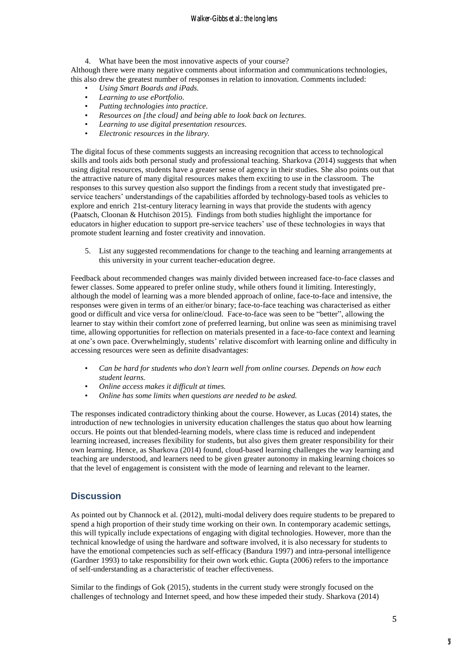#### Walker-Gibbs et al.: the long lens

4. What have been the most innovative aspects of your course? Although there were many negative comments about information and communications technologies, this also drew the greatest number of responses in relation to innovation. Comments included:

- *Using Smart Boards and iPads.*
- *Learning to use ePortfolio.*
- *Putting technologies into practice.*
- *Resources on [the cloud] and being able to look back on lectures.*
- *Learning to use digital presentation resources.*
- *Electronic resources in the library.*

The digital focus of these comments suggests an increasing recognition that access to technological skills and tools aids both personal study and professional teaching. Sharkova (2014) suggests that when using digital resources, students have a greater sense of agency in their studies. She also points out that the attractive nature of many digital resources makes them exciting to use in the classroom. The responses to this survey question also support the findings from a recent study that investigated preservice teachers' understandings of the capabilities afforded by technology-based tools as vehicles to explore and enrich 21st-century literacy learning in ways that provide the students with agency (Paatsch, Cloonan & Hutchison 2015). Findings from both studies highlight the importance for educators in higher education to support pre-service teachers' use of these technologies in ways that promote student learning and foster creativity and innovation.

5. List any suggested recommendations for change to the teaching and learning arrangements at this university in your current teacher-education degree.

Feedback about recommended changes was mainly divided between increased face-to-face classes and fewer classes. Some appeared to prefer online study, while others found it limiting. Interestingly, although the model of learning was a more blended approach of online, face-to-face and intensive, the responses were given in terms of an either/or binary; face-to-face teaching was characterised as either good or difficult and vice versa for online/cloud. Face-to-face was seen to be "better", allowing the learner to stay within their comfort zone of preferred learning, but online was seen as minimising travel time, allowing opportunities for reflection on materials presented in a face-to-face context and learning at one's own pace. Overwhelmingly, students' relative discomfort with learning online and difficulty in accessing resources were seen as definite disadvantages:

- *Can be hard for students who don't learn well from online courses. Depends on how each student learns.*
- *Online access makes it difficult at times.*
- *Online has some limits when questions are needed to be asked.*

The responses indicated contradictory thinking about the course. However, as Lucas (2014) states, the introduction of new technologies in university education challenges the status quo about how learning occurs. He points out that blended-learning models, where class time is reduced and independent learning increased, increases flexibility for students, but also gives them greater responsibility for their own learning. Hence, as Sharkova (2014) found, cloud-based learning challenges the way learning and teaching are understood, and learners need to be given greater autonomy in making learning choices so that the level of engagement is consistent with the mode of learning and relevant to the learner.

#### **Discussion**

As pointed out by Channock et al. (2012), multi-modal delivery does require students to be prepared to spend a high proportion of their study time working on their own. In contemporary academic settings, this will typically include expectations of engaging with digital technologies. However, more than the technical knowledge of using the hardware and software involved, it is also necessary for students to have the emotional competencies such as self-efficacy (Bandura 1997) and intra-personal intelligence (Gardner 1993) to take responsibility for their own work ethic. Gupta (2006) refers to the importance of self-understanding as a characteristic of teacher effectiveness.

Similar to the findings of Gok (2015), students in the current study were strongly focused on the challenges of technology and Internet speed, and how these impeded their study. Sharkova (2014)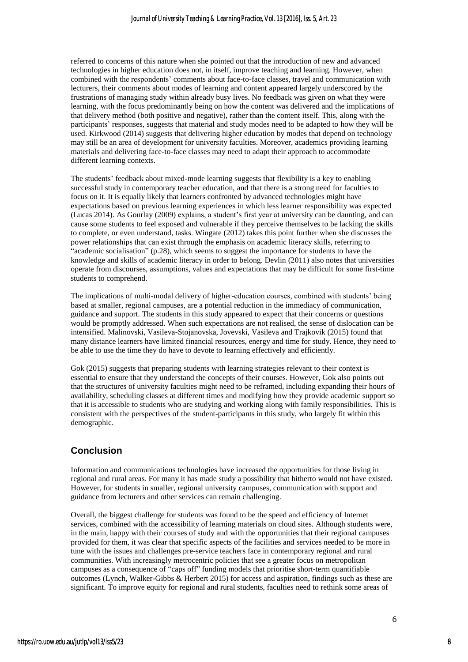referred to concerns of this nature when she pointed out that the introduction of new and advanced technologies in higher education does not, in itself, improve teaching and learning. However, when combined with the respondents' comments about face-to-face classes, travel and communication with lecturers, their comments about modes of learning and content appeared largely underscored by the frustrations of managing study within already busy lives. No feedback was given on what they were learning, with the focus predominantly being on how the content was delivered and the implications of that delivery method (both positive and negative), rather than the content itself. This, along with the participants' responses, suggests that material and study modes need to be adapted to how they will be used. Kirkwood (2014) suggests that delivering higher education by modes that depend on technology may still be an area of development for university faculties. Moreover, academics providing learning materials and delivering face-to-face classes may need to adapt their approach to accommodate different learning contexts.

The students' feedback about mixed-mode learning suggests that flexibility is a key to enabling successful study in contemporary teacher education, and that there is a strong need for faculties to focus on it. It is equally likely that learners confronted by advanced technologies might have expectations based on previous learning experiences in which less learner responsibility was expected (Lucas 2014). As Gourlay (2009) explains, a student's first year at university can be daunting, and can cause some students to feel exposed and vulnerable if they perceive themselves to be lacking the skills to complete, or even understand, tasks. Wingate (2012) takes this point further when she discusses the power relationships that can exist through the emphasis on academic literacy skills, referring to "academic socialisation" (p.28), which seems to suggest the importance for students to have the knowledge and skills of academic literacy in order to belong. Devlin (2011) also notes that universities operate from discourses, assumptions, values and expectations that may be difficult for some first-time students to comprehend.

The implications of multi-modal delivery of higher-education courses, combined with students' being based at smaller, regional campuses, are a potential reduction in the immediacy of communication, guidance and support. The students in this study appeared to expect that their concerns or questions would be promptly addressed. When such expectations are not realised, the sense of dislocation can be intensified. Malinovski, Vasileva-Stojanovska, Jovevski, Vasileva and Trajkovik (2015) found that many distance learners have limited financial resources, energy and time for study. Hence, they need to be able to use the time they do have to devote to learning effectively and efficiently.

Gok (2015) suggests that preparing students with learning strategies relevant to their context is essential to ensure that they understand the concepts of their courses. However, Gok also points out that the structures of university faculties might need to be reframed, including expanding their hours of availability, scheduling classes at different times and modifying how they provide academic support so that it is accessible to students who are studying and working along with family responsibilities. This is consistent with the perspectives of the student-participants in this study, who largely fit within this demographic.

#### **Conclusion**

Information and communications technologies have increased the opportunities for those living in regional and rural areas. For many it has made study a possibility that hitherto would not have existed. However, for students in smaller, regional university campuses, communication with support and guidance from lecturers and other services can remain challenging.

Overall, the biggest challenge for students was found to be the speed and efficiency of Internet services, combined with the accessibility of learning materials on cloud sites. Although students were, in the main, happy with their courses of study and with the opportunities that their regional campuses provided for them, it was clear that specific aspects of the facilities and services needed to be more in tune with the issues and challenges pre-service teachers face in contemporary regional and rural communities. With increasingly metrocentric policies that see a greater focus on metropolitan campuses as a consequence of "caps off" funding models that prioritise short-term quantifiable outcomes (Lynch, Walker-Gibbs & Herbert 2015) for access and aspiration, findings such as these are significant. To improve equity for regional and rural students, faculties need to rethink some areas of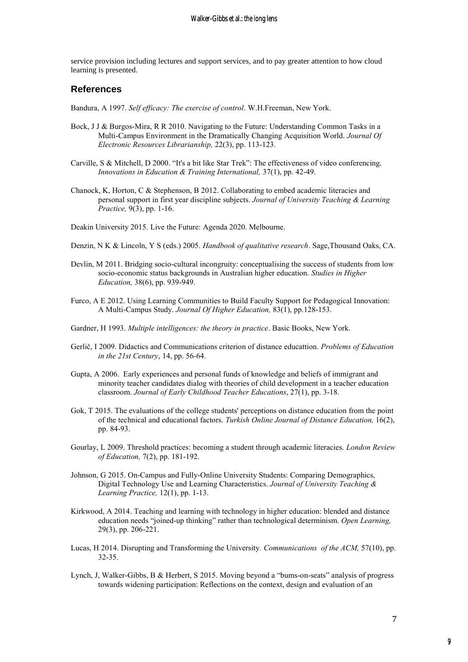service provision including lectures and support services, and to pay greater attention to how cloud learning is presented.

#### **References**

*Bandura, A 1997. Self efficacy: The exercise of control. W.H.Freeman, New York.*

- *Bock, J J & Burgos-Mira, R R 2010. Navigating to the Future: Understanding Common Tasks in a Multi-Campus Environment in the Dramatically Changing Acquisition World. Journal Of Electronic Resources Librarianship, 22(3), pp. 113-123.*
- *Carville, S & Mitchell, D 2000. "It's a bit like Star Trek": The effectiveness of video conferencing. Innovations in Education & Training International, 37(1), pp. 42-49.*
- *Chanock, K, Horton, C & Stephenson, B 2012. Collaborating to embed academic literacies and personal support in first year discipline subjects. Journal of University Teaching & Learning Practice, 9(3), pp. 1-16.*

*Deakin University 2015. Live the Future: Agenda 2020. Melbourne.*

- *Denzin, N K & Lincoln, Y S (eds.) 2005. Handbook of qualitative research. Sage,Thousand Oaks, CA.*
- *Devlin, M 2011. Bridging socio-cultural incongruity: conceptualising the success of students from low socio-economic status backgrounds in Australian higher education. Studies in Higher Education, 38(6), pp. 939-949.*
- *Furco, A E 2012. Using Learning Communities to Build Faculty Support for Pedagogical Innovation: A Multi-Campus Study. Journal Of Higher Education, 83(1), pp.128-153.*
- *Gardner, H 1993. Multiple intelligences: the theory in practice. Basic Books, New York.*
- *Gerlič, I 2009. Didactics and Communications criterion of distance educattion. Problems of Education in the 21st Century, 14, pp. 56-64.*
- *Gupta, A 2006. Early experiences and personal funds of knowledge and beliefs of immigrant and minority teacher candidates dialog with theories of child development in a teacher education classroom. Journal of Early Childhood Teacher Educations, 27(1), pp. 3-18.*
- *Gok, T 2015. The evaluations of the college students' perceptions on distance education from the point of the technical and educational factors. Turkish Online Journal of Distance Education, 16(2), pp. 84-93.*
- *Gourlay, L 2009. Threshold practices: becoming a student through academic literacies. London Review of Education, 7(2), pp. 181-192.*
- *Johnson, G 2015. On-Campus and Fully-Online University Students: Comparing Demographics, Digital Technology Use and Learning Characteristics. Journal of University Teaching & Learning Practice, 12(1), pp. 1-13.*
- *Kirkwood, A 2014. Teaching and learning with technology in higher education: blended and distance education needs "joined-up thinking" rather than technological determinism. Open Learning, 29(3), pp. 206-221.*
- *Lucas, H 2014. Disrupting and Transforming the University. Communications of the ACM, 57(10), pp. 32-35.*
- *Lynch, J, Walker-Gibbs, B & Herbert, S 2015. Moving beyond a "bums-on-seats" analysis of progress towards widening participation: Reflections on the context, design and evaluation of an*